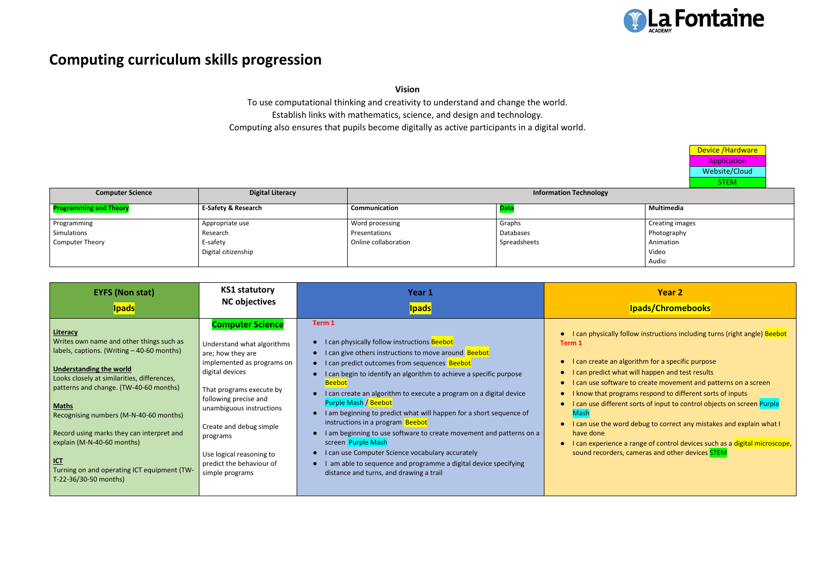# **Computing curriculum skills progression**

**Vision**

To use computational thinking and creativity to understand and change the world. Establish links with mathematics, science, and design and technology. Computing also ensures that pupils become digitally as active participants in a digital world.

> Device /Hardware Application Website/Cloud **STEM**

| <b>Computer Science</b>       | <b>Digital Literacy</b>        |                      | <b>Information Technology</b> |                        |
|-------------------------------|--------------------------------|----------------------|-------------------------------|------------------------|
| <b>Programming and Theory</b> | <b>E-Safety &amp; Research</b> | Communication        |                               | Multimedia             |
| Programming                   | Appropriate use                | Word processing      | Graphs                        | <b>Creating images</b> |
| Simulations                   | Research                       | Presentations        | Databases                     | Photography            |
| Computer Theory               | E-safety                       | Online collaboration | Spreadsheets                  | Animation              |
|                               | Digital citizenship            |                      |                               | Video                  |
|                               |                                |                      |                               | Audio                  |

# **Year 2**

## **Ipads/Chromebooks**

follow instructions including turns (right angle) Beebot

- algorithm for a specific purpose
- hat will happen and test results
- are to create movement and patterns on a screen
- grams respond to different sorts of inputs
- ent sorts of input to control objects on screen <mark>Purple</mark>

ord debug to correct any mistakes and explain what I

ce a range of control devices su<mark>ch as</mark> a <mark>digital microscope</mark>, rs, cameras and other devices **STEM** 

| <b>EYFS (Non stat)</b><br><b>NC objectives</b><br><b>Ipads</b>                                                                                                                                                                                                                                                                                                                                                                                                                                                                                                                                                                                                                                                                                                                             | <b><u>Ipads</u></b>                                                                                                                                                                                                                                                                                                                                                                                                                                                                                                                                                                                                                                                                                                       |                                                                                                                                                                                                                 |
|--------------------------------------------------------------------------------------------------------------------------------------------------------------------------------------------------------------------------------------------------------------------------------------------------------------------------------------------------------------------------------------------------------------------------------------------------------------------------------------------------------------------------------------------------------------------------------------------------------------------------------------------------------------------------------------------------------------------------------------------------------------------------------------------|---------------------------------------------------------------------------------------------------------------------------------------------------------------------------------------------------------------------------------------------------------------------------------------------------------------------------------------------------------------------------------------------------------------------------------------------------------------------------------------------------------------------------------------------------------------------------------------------------------------------------------------------------------------------------------------------------------------------------|-----------------------------------------------------------------------------------------------------------------------------------------------------------------------------------------------------------------|
| <b>Computer Science</b><br>Literacy<br>Writes own name and other things such as<br>Understand what algorithms<br>labels, captions. (Writing - 40-60 months)<br>are; how they are<br>implemented as programs on<br><b>Understanding the world</b><br>digital devices<br>Looks closely at similarities, differences,<br>patterns and change. (TW-40-60 months)<br>That programs execute by<br>following precise and<br><b>Maths</b><br>unambiguous instructions<br>Recognising numbers (M-N-40-60 months)<br>Create and debug simple<br>Record using marks they can interpret and<br>programs<br>explain (M-N-40-60 months)<br>Use logical reasoning to<br><b>ICT</b><br>predict the behaviour of<br>Turning on and operating ICT equipment (TW-<br>simple programs<br>T-22-36/30-50 months) | Term 1<br>I can physically follow instructions Beebot<br>I can give others instructions to move around Beebot<br>I can predict outcomes from sequences Beebot<br>I can begin to identify an algorithm to achieve a specific purpose<br><b>Beebot</b><br>I can create an algorithm to execute a program on a digital device<br>Purple Mash / Beebot<br>I am beginning to predict what will happen for a short sequence of<br>instructions in a program Beebot<br>I am beginning to use software to create movement and patterns on a<br>screen Purple Mash<br>I can use Computer Science vocabulary accurately<br>am able to sequence and programme a digital device specifying<br>distance and turns, and drawing a trail | I can physically<br>Term 1<br>I can create an<br>I can predict wl<br>I can use softw<br>I know that pro<br>I can use differ<br><b>Mash</b><br>I can use the w<br>have done<br>I can experienc<br>sound recorder |

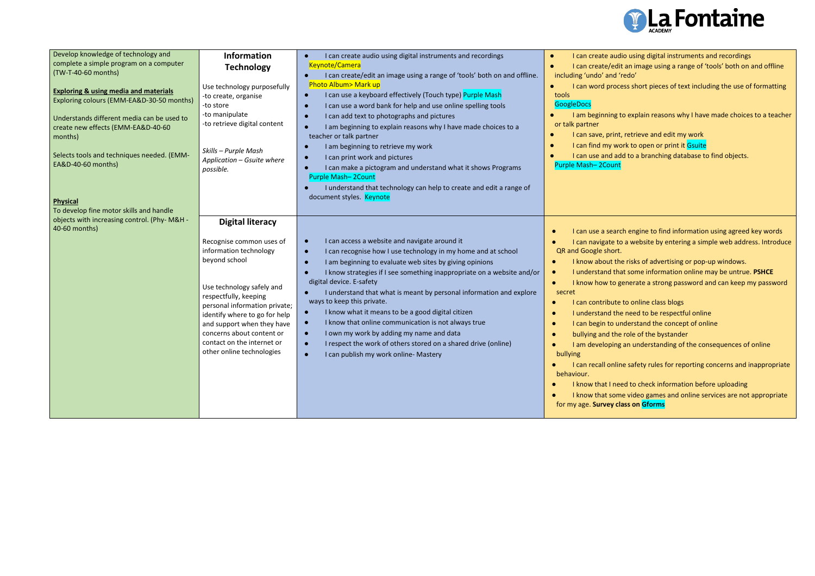| Develop knowledge of technology and<br>complete a simple program on a computer<br>(TW-T-40-60 months)<br><b>Exploring &amp; using media and materials</b><br>Exploring colours (EMM-EA&D-30-50 months)<br>Understands different media can be used to<br>create new effects (EMM-EA&D-40-60<br>months)<br>Selects tools and techniques needed. (EMM-<br>EA&D-40-60 months)<br><b>Physical</b><br>To develop fine motor skills and handle | <b>Information</b><br><b>Technology</b><br>Use technology purposefully<br>-to create, organise<br>-to store<br>-to manipulate<br>-to retrieve digital content<br>Skills - Purple Mash<br>Application - Gsuite where<br>possible.                                                                                                             | I can create audio using digital instruments and recordings<br><b>Keynote/Camera</b><br>I can create/edit an image using a range of 'tools' both on and offline.<br><b>Photo Album&gt; Mark up</b><br>I can use a keyboard effectively (Touch type) Purple Mash<br>$\bullet$<br>I can use a word bank for help and use online spelling tools<br>I can add text to photographs and pictures<br>I am beginning to explain reasons why I have made choices to a<br>teacher or talk partner<br>I am beginning to retrieve my work<br>I can print work and pictures<br>I can make a pictogram and understand what it shows Programs<br><b>Purple Mash-2Count</b><br>I understand that technology can help to create and edit a range of<br>document styles. Keynote | I can create audi<br>$\bullet$<br>I can create/edit<br>$\bullet$<br>including 'undo' and 'r<br>I can word proce<br>$\bullet$<br>tools<br><b>GoogleDocs</b><br>I am beginning to<br>or talk partner<br>I can save, print,<br>I can find my wo<br>I can use and ad<br>Purple Mash-2Count                                                                     |
|-----------------------------------------------------------------------------------------------------------------------------------------------------------------------------------------------------------------------------------------------------------------------------------------------------------------------------------------------------------------------------------------------------------------------------------------|----------------------------------------------------------------------------------------------------------------------------------------------------------------------------------------------------------------------------------------------------------------------------------------------------------------------------------------------|----------------------------------------------------------------------------------------------------------------------------------------------------------------------------------------------------------------------------------------------------------------------------------------------------------------------------------------------------------------------------------------------------------------------------------------------------------------------------------------------------------------------------------------------------------------------------------------------------------------------------------------------------------------------------------------------------------------------------------------------------------------|------------------------------------------------------------------------------------------------------------------------------------------------------------------------------------------------------------------------------------------------------------------------------------------------------------------------------------------------------------|
| objects with increasing control. (Phy- M&H -<br>40-60 months)                                                                                                                                                                                                                                                                                                                                                                           | <b>Digital literacy</b><br>Recognise common uses of<br>information technology<br>beyond school<br>Use technology safely and<br>respectfully, keeping<br>personal information private;<br>identify where to go for help<br>and support when they have<br>concerns about content or<br>contact on the internet or<br>other online technologies | I can access a website and navigate around it<br>$\bullet$<br>I can recognise how I use technology in my home and at school<br>$\bullet$<br>I am beginning to evaluate web sites by giving opinions<br>I know strategies if I see something inappropriate on a website and/or<br>digital device. E-safety<br>I understand that what is meant by personal information and explore<br>ways to keep this private.<br>I know what it means to be a good digital citizen<br>I know that online communication is not always true<br>$\bullet$<br>I own my work by adding my name and data<br>$\bullet$<br>I respect the work of others stored on a shared drive (online)<br>I can publish my work online- Mastery                                                    | I can use a searc<br>I can navigate to<br>QR and Google short.<br>I know about the<br>I understand tha<br>I know how to go<br>secret<br>I can contribute<br>I understand the<br>I can begin to un<br>bullying and the<br>I am developing<br>bullying<br>I can recall onlin<br>behaviour.<br>I know that I nee<br>I know that som<br>for my age. Survey cla |



dio using digital instruments and recordings dit an image using a range of 'tools' both on and offline 'redo'

cess short pieces of text including the use of formatting

to explain reasons why I have made choices to a teacher

nt, retrieve and edit my work vork to open or print it Gsuite add to a branching database to find objects.

rch engine to find information using agreed key words to a website by entering a simple web address. Introduce

- he risks of advertising or pop-up windows.
- hat some information online may be untrue. PSHCE
- generate a strong password and can keep my password
- te to online class blogs
- he need to be respectful online
- understand the concept of online
- e role of the bystander
- g an understanding of the consequences of online

line safety rules for reporting concerns and inappropriate

need to check information before uploading me video games and online services are not appropriate **forms** class on Gforms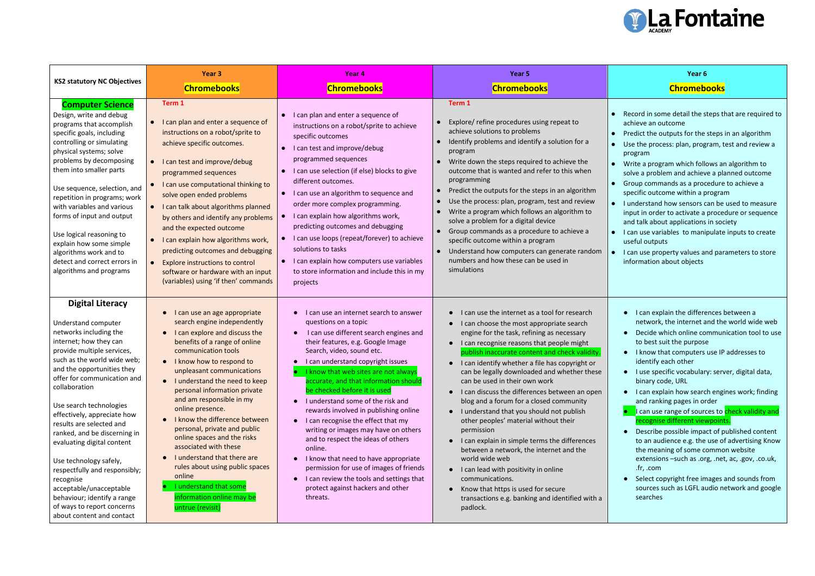#### **Year 6**

### **Chromebooks**

| <b>KS2 statutory NC Objectives</b>                                                                                                                                                                                                                                                                                                                                                                                                                                                                                                                                                             | Year <sub>3</sub>                                                                                                                                                                                                                                                                                                                                                                                                                                                                                                                                                                                                                                                               | Year <sub>4</sub>                                                                                                                                                                                                                                                                                                                                                                                                                                                                                                                                                                                                                                                                                                                                                                          | Year 5                                                                                                                                                                                                                                                                                                                                                                                                                                                                                                                                                                                                                                                                                                                                                                                                                                                |  |
|------------------------------------------------------------------------------------------------------------------------------------------------------------------------------------------------------------------------------------------------------------------------------------------------------------------------------------------------------------------------------------------------------------------------------------------------------------------------------------------------------------------------------------------------------------------------------------------------|---------------------------------------------------------------------------------------------------------------------------------------------------------------------------------------------------------------------------------------------------------------------------------------------------------------------------------------------------------------------------------------------------------------------------------------------------------------------------------------------------------------------------------------------------------------------------------------------------------------------------------------------------------------------------------|--------------------------------------------------------------------------------------------------------------------------------------------------------------------------------------------------------------------------------------------------------------------------------------------------------------------------------------------------------------------------------------------------------------------------------------------------------------------------------------------------------------------------------------------------------------------------------------------------------------------------------------------------------------------------------------------------------------------------------------------------------------------------------------------|-------------------------------------------------------------------------------------------------------------------------------------------------------------------------------------------------------------------------------------------------------------------------------------------------------------------------------------------------------------------------------------------------------------------------------------------------------------------------------------------------------------------------------------------------------------------------------------------------------------------------------------------------------------------------------------------------------------------------------------------------------------------------------------------------------------------------------------------------------|--|
|                                                                                                                                                                                                                                                                                                                                                                                                                                                                                                                                                                                                | <b>Chromebooks</b>                                                                                                                                                                                                                                                                                                                                                                                                                                                                                                                                                                                                                                                              | <b>Chromebooks</b>                                                                                                                                                                                                                                                                                                                                                                                                                                                                                                                                                                                                                                                                                                                                                                         | <b>Chromebooks</b>                                                                                                                                                                                                                                                                                                                                                                                                                                                                                                                                                                                                                                                                                                                                                                                                                                    |  |
| <b>Computer Science</b><br>Design, write and debug<br>programs that accomplish<br>specific goals, including<br>controlling or simulating<br>physical systems; solve<br>problems by decomposing<br>them into smaller parts<br>Use sequence, selection, and<br>repetition in programs; work<br>with variables and various<br>forms of input and output<br>Use logical reasoning to<br>explain how some simple<br>algorithms work and to<br>detect and correct errors in<br>algorithms and programs                                                                                               | Term 1<br>I can plan and enter a sequence of<br>instructions on a robot/sprite to<br>achieve specific outcomes.<br>I can test and improve/debug<br>programmed sequences<br>I can use computational thinking to<br>solve open ended problems<br>I can talk about algorithms planned<br>by others and identify any problems<br>and the expected outcome<br>I can explain how algorithms work,<br>predicting outcomes and debugging<br><b>Explore instructions to control</b><br>software or hardware with an input<br>(variables) using 'if then' commands                                                                                                                        | I can plan and enter a sequence of<br>$\bullet$<br>instructions on a robot/sprite to achieve<br>specific outcomes<br>I can test and improve/debug<br>programmed sequences<br>I can use selection (if else) blocks to give<br>$\bullet$<br>different outcomes.<br>I can use an algorithm to sequence and<br>order more complex programming.<br>I can explain how algorithms work,<br>predicting outcomes and debugging<br>I can use loops (repeat/forever) to achieve<br>solutions to tasks<br>I can explain how computers use variables<br>$\bullet$<br>to store information and include this in my<br>projects                                                                                                                                                                            | Term 1<br>Explore/ refine procedures using repeat to<br>achieve solutions to problems<br>Identify problems and identify a solution for a<br>program<br>Write down the steps required to achieve the<br>outcome that is wanted and refer to this when<br>programming<br>Predict the outputs for the steps in an algorithm<br>Use the process: plan, program, test and review<br>$\bullet$<br>Write a program which follows an algorithm to<br>solve a problem for a digital device<br>Group commands as a procedure to achieve a<br>specific outcome within a program<br>Understand how computers can generate random<br>numbers and how these can be used in<br>simulations                                                                                                                                                                           |  |
| <b>Digital Literacy</b><br>Understand computer<br>networks including the<br>internet; how they can<br>provide multiple services,<br>such as the world wide web;<br>and the opportunities they<br>offer for communication and<br>collaboration<br>Use search technologies<br>effectively, appreciate how<br>results are selected and<br>ranked, and be discerning in<br>evaluating digital content<br>Use technology safely,<br>respectfully and responsibly;<br>recognise<br>acceptable/unacceptable<br>behaviour; identify a range<br>of ways to report concerns<br>about content and contact | I can use an age appropriate<br>$\bullet$<br>search engine independently<br>I can explore and discuss the<br>$\bullet$<br>benefits of a range of online<br>communication tools<br>I know how to respond to<br>$\bullet$<br>unpleasant communications<br>I understand the need to keep<br>$\bullet$<br>personal information private<br>and am responsible in my<br>online presence.<br>I know the difference between<br>$\bullet$<br>personal, private and public<br>online spaces and the risks<br>associated with these<br>I understand that there are<br>rules about using public spaces<br>online<br>I understand that some<br>information online may be<br>untrue (revisit) | can use an internet search to answer<br>questions on a topic<br>I can use different search engines and<br>$\bullet$<br>their features, e.g. Google Image<br>Search, video, sound etc.<br>I can understand copyright issues<br>I know that web sites are not always<br>accurate, and that information should<br>be checked before it is used<br>I understand some of the risk and<br>$\bullet$<br>rewards involved in publishing online<br>I can recognise the effect that my<br>$\bullet$<br>writing or images may have on others<br>and to respect the ideas of others<br>online.<br>I know that need to have appropriate<br>$\bullet$<br>permission for use of images of friends<br>can review the tools and settings that<br>$\bullet$<br>protect against hackers and other<br>threats. | I can use the internet as a tool for research<br>I can choose the most appropriate search<br>engine for the task, refining as necessary<br>I can recognise reasons that people might<br>publish inaccurate content and check validity.<br>I can identify whether a file has copyright or<br>can be legally downloaded and whether these<br>can be used in their own work<br>I can discuss the differences between an open<br>blog and a forum for a closed community<br>I understand that you should not publish<br>other peoples' material without their<br>permission<br>I can explain in simple terms the differences<br>between a network, the internet and the<br>world wide web<br>I can lead with positivity in online<br>communications.<br>Know that https is used for secure<br>transactions e.g. banking and identified with a<br>padlock. |  |



- Record in some detail the steps that are required to achieve an outcome
- Predict the outputs for the steps in an algorithm Use the process: plan, program, test and review a program
- Write a program which follows an algorithm to solve a problem and achieve a planned outcome
- Group commands as a procedure to achieve a specific outcome within a program
- I understand how sensors can be used to measure input in order to activate a procedure or sequence and talk about applications in society
- I can use variables to manipulate inputs to create useful outputs
- I can use property values and parameters to store information about objects
- I can explain the differences between a network, the internet and the world wide web
- Decide which online communication tool to use to best suit the purpose
- I know that computers use IP addresses to identify each other
- I use specific vocabulary: server, digital data, binary code, URL
- I can explain how search engines work; finding and ranking pages in order
- **•** I can use range of sources to check validity and recognise different viewpoints.
- Describe possible impact of published content to an audience e.g. the use of advertising Know the meaning of some common website extensions –such as .org, .net, ac, .gov, .co.uk, .fr, .com
- Select copyright free images and sounds from sources such as LGFL audio network and google searches